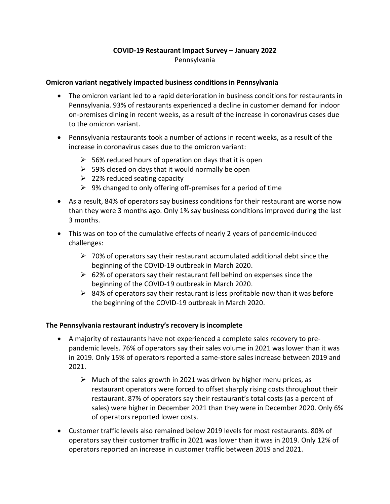# **COVID-19 Restaurant Impact Survey – January 2022** Pennsylvania

#### **Omicron variant negatively impacted business conditions in Pennsylvania**

- The omicron variant led to a rapid deterioration in business conditions for restaurants in Pennsylvania. 93% of restaurants experienced a decline in customer demand for indoor on-premises dining in recent weeks, as a result of the increase in coronavirus cases due to the omicron variant.
- Pennsylvania restaurants took a number of actions in recent weeks, as a result of the increase in coronavirus cases due to the omicron variant:
	- $\geq$  56% reduced hours of operation on days that it is open
	- $\geq$  59% closed on days that it would normally be open
	- $\geq$  22% reduced seating capacity
	- $\geq$  9% changed to only offering off-premises for a period of time
- As a result, 84% of operators say business conditions for their restaurant are worse now than they were 3 months ago. Only 1% say business conditions improved during the last 3 months.
- This was on top of the cumulative effects of nearly 2 years of pandemic-induced challenges:
	- $\triangleright$  70% of operators say their restaurant accumulated additional debt since the beginning of the COVID-19 outbreak in March 2020.
	- $\geq$  62% of operators say their restaurant fell behind on expenses since the beginning of the COVID-19 outbreak in March 2020.
	- $\triangleright$  84% of operators say their restaurant is less profitable now than it was before the beginning of the COVID-19 outbreak in March 2020.

## **The Pennsylvania restaurant industry's recovery is incomplete**

- A majority of restaurants have not experienced a complete sales recovery to prepandemic levels. 76% of operators say their sales volume in 2021 was lower than it was in 2019. Only 15% of operators reported a same-store sales increase between 2019 and 2021.
	- $\triangleright$  Much of the sales growth in 2021 was driven by higher menu prices, as restaurant operators were forced to offset sharply rising costs throughout their restaurant. 87% of operators say their restaurant's total costs (as a percent of sales) were higher in December 2021 than they were in December 2020. Only 6% of operators reported lower costs.
- Customer traffic levels also remained below 2019 levels for most restaurants. 80% of operators say their customer traffic in 2021 was lower than it was in 2019. Only 12% of operators reported an increase in customer traffic between 2019 and 2021.